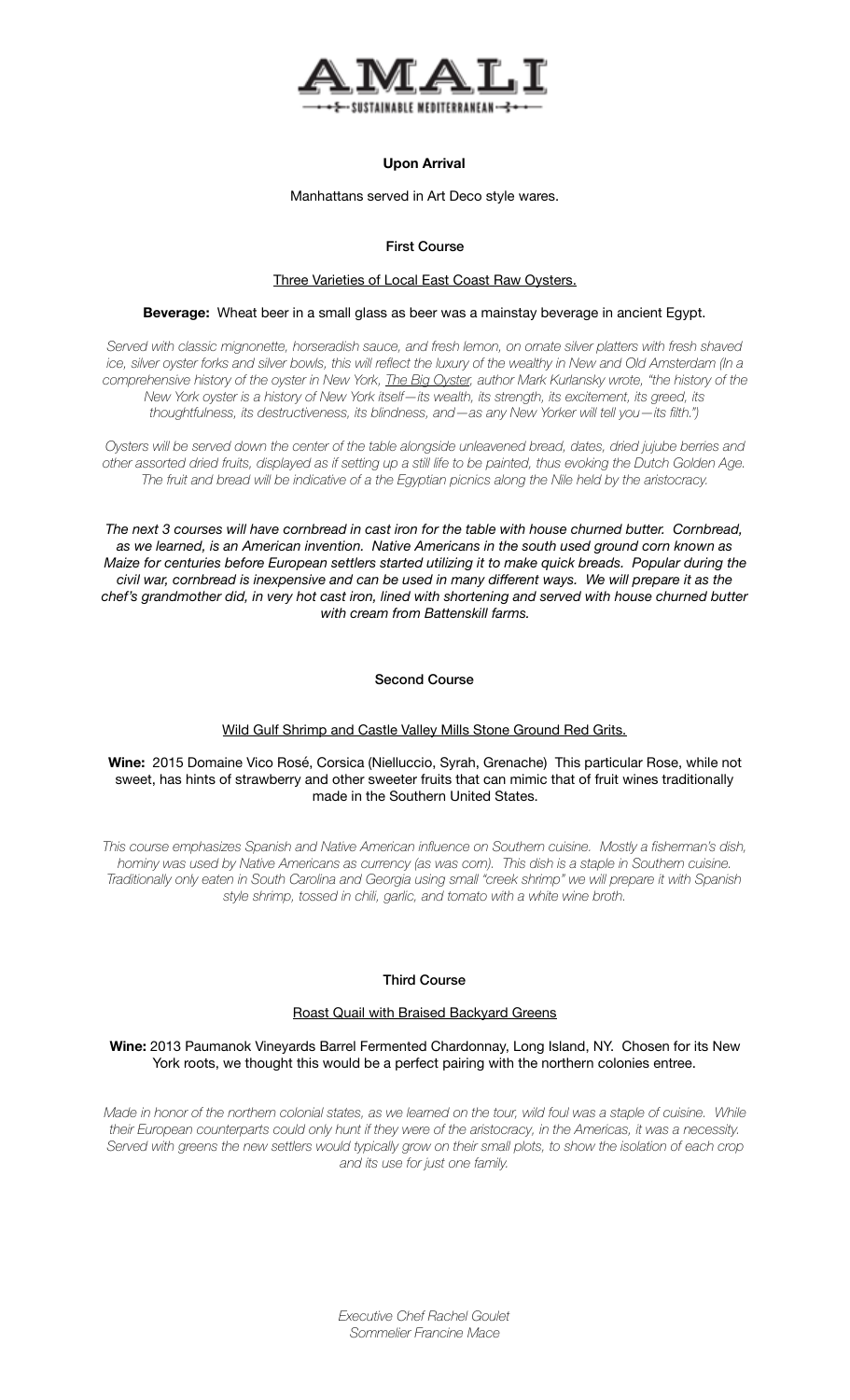

# **Upon Arrival**

Manhattans served in Art Deco style wares.

# First Course

#### Three Varieties of Local East Coast Raw Oysters.

#### **Beverage:** Wheat beer in a small glass as beer was a mainstay beverage in ancient Egypt.

*Served with classic mignonette, horseradish sauce, and fresh lemon, on ornate silver platters with fresh shaved ice, silver oyster forks and silver bowls, this will reflect the luxury of the wealthy in New and Old Amsterdam (In a comprehensive history of the oyster in New York, [The Big Oyster,](http://catalog.nypl.org/record=b17446759~S1) author Mark Kurlansky wrote, "the history of the New York oyster is a history of New York itself—its wealth, its strength, its excitement, its greed, its thoughtfulness, its destructiveness, its blindness, and—as any New Yorker will tell you—its filth.")* 

*Oysters will be served down the center of the table alongside unleavened bread, dates, dried jujube berries and other assorted dried fruits, displayed as if setting up a still life to be painted, thus evoking the Dutch Golden Age. The fruit and bread will be indicative of a the Egyptian picnics along the Nile held by the aristocracy.* 

*The next 3 courses will have cornbread in cast iron for the table with house churned butter. Cornbread, as we learned, is an American invention. Native Americans in the south used ground corn known as Maize for centuries before European settlers started utilizing it to make quick breads. Popular during the civil war, cornbread is inexpensive and can be used in many different ways. We will prepare it as the chef's grandmother did, in very hot cast iron, lined with shortening and served with house churned butter with cream from Battenskill farms.* 

## Second Course

# Wild Gulf Shrimp and Castle Valley Mills Stone Ground Red Grits.

### **Wine:** 2015 Domaine Vico Rosé, Corsica (Nielluccio, Syrah, Grenache) This particular Rose, while not sweet, has hints of strawberry and other sweeter fruits that can mimic that of fruit wines traditionally made in the Southern United States.

*This course emphasizes Spanish and Native American influence on Southern cuisine. Mostly a fisherman's dish, hominy was used by Native Americans as currency (as was corn). This dish is a staple in Southern cuisine. Traditionally only eaten in South Carolina and Georgia using small "creek shrimp" we will prepare it with Spanish style shrimp, tossed in chili, garlic, and tomato with a white wine broth.* 

## Third Course

## Roast Quail with Braised Backyard Greens

**Wine:** 2013 Paumanok Vineyards Barrel Fermented Chardonnay, Long Island, NY. Chosen for its New York roots, we thought this would be a perfect pairing with the northern colonies entree.

*Made in honor of the northern colonial states, as we learned on the tour, wild foul was a staple of cuisine. While their European counterparts could only hunt if they were of the aristocracy, in the Americas, it was a necessity. Served with greens the new settlers would typically grow on their small plots, to show the isolation of each crop and its use for just one family.*